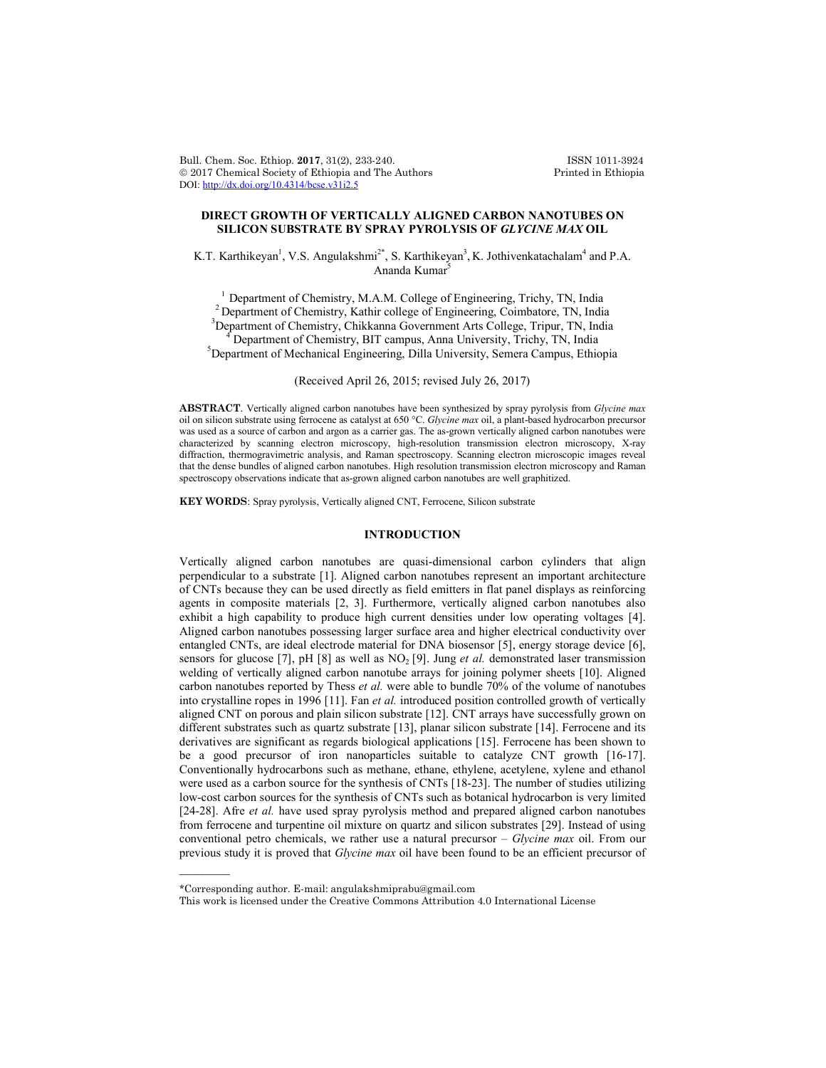Bull. Chem. Soc. Ethiop. **2017**, 31(2), 233-240. ISSN 1011-3924 2017 Chemical Society of Ethiopia and The Authors Printed in Ethiopia DOI: http://dx.doi.org/10.4314/bcse.v31i2.5

## **DIRECT GROWTH OF VERTICALLY ALIGNED CARBON NANOTUBES ON SILICON SUBSTRATE BY SPRAY PYROLYSIS OF** *GLYCINE MAX* **OIL**

K.T. Karthikeyan<sup>1</sup>, V.S. Angulakshmi<sup>2\*</sup>, S. Karthikeyan<sup>3</sup>, K. Jothivenkatachalam<sup>4</sup> and P.A. Ananda Kumar<sup>5</sup>

<sup>1</sup> Department of Chemistry, M.A.M. College of Engineering, Trichy, TN, India <sup>2</sup> Department of Chemistry, Kathir college of Engineering, Coimbatore, TN, India <sup>3</sup>Department of Chemistry, Chikkanna Government Arts College, Department of Chemistry, BIT campus, Anna University, Trichy, TN, India  ${}^{5}$ Department of Mechanical Engineering, Dilla University, Semera Campus, Ethiopia

(Received April 26, 2015; revised July 26, 2017)

**ABSTRACT**. Vertically aligned carbon nanotubes have been synthesized by spray pyrolysis from *Glycine max* oil on silicon substrate using ferrocene as catalyst at 650 °C. *Glycine max* oil, a plant-based hydrocarbon precursor was used as a source of carbon and argon as a carrier gas. The as-grown vertically aligned carbon nanotubes were characterized by scanning electron microscopy, high-resolution transmission electron microscopy, X-ray diffraction, thermogravimetric analysis, and Raman spectroscopy. Scanning electron microscopic images reveal that the dense bundles of aligned carbon nanotubes. High resolution transmission electron microscopy and Raman spectroscopy observations indicate that as-grown aligned carbon nanotubes are well graphitized.

**KEY WORDS**: Spray pyrolysis, Vertically aligned CNT, Ferrocene, Silicon substrate

### **INTRODUCTION**

Vertically aligned carbon nanotubes are quasi-dimensional carbon cylinders that align perpendicular to a substrate [1]. Aligned carbon nanotubes represent an important architecture of CNTs because they can be used directly as field emitters in flat panel displays as reinforcing agents in composite materials [2, 3]. Furthermore, vertically aligned carbon nanotubes also exhibit a high capability to produce high current densities under low operating voltages [4]. Aligned carbon nanotubes possessing larger surface area and higher electrical conductivity over entangled CNTs, are ideal electrode material for DNA biosensor [5], energy storage device [6], sensors for glucose [7], pH [8] as well as  $NO<sub>2</sub>$  [9]. Jung *et al.* demonstrated laser transmission welding of vertically aligned carbon nanotube arrays for joining polymer sheets [10]. Aligned carbon nanotubes reported by Thess *et al.* were able to bundle 70% of the volume of nanotubes into crystalline ropes in 1996 [11]. Fan *et al.* introduced position controlled growth of vertically aligned CNT on porous and plain silicon substrate [12]. CNT arrays have successfully grown on different substrates such as quartz substrate [13], planar silicon substrate [14]. Ferrocene and its derivatives are significant as regards biological applications [15]. Ferrocene has been shown to be a good precursor of iron nanoparticles suitable to catalyze CNT growth [16-17]. Conventionally hydrocarbons such as methane, ethane, ethylene, acetylene, xylene and ethanol were used as a carbon source for the synthesis of CNTs [18-23]. The number of studies utilizing low-cost carbon sources for the synthesis of CNTs such as botanical hydrocarbon is very limited [24-28]. Afre *et al.* have used spray pyrolysis method and prepared aligned carbon nanotubes from ferrocene and turpentine oil mixture on quartz and silicon substrates [29]. Instead of using conventional petro chemicals, we rather use a natural precursor – *Glycine max* oil. From our previous study it is proved that *Glycine max* oil have been found to be an efficient precursor of

 $\overline{\phantom{a}}$ 

<sup>\*</sup>Corresponding author. E-mail: angulakshmiprabu@gmail.com

This work is licensed under the Creative Commons Attribution 4.0 International License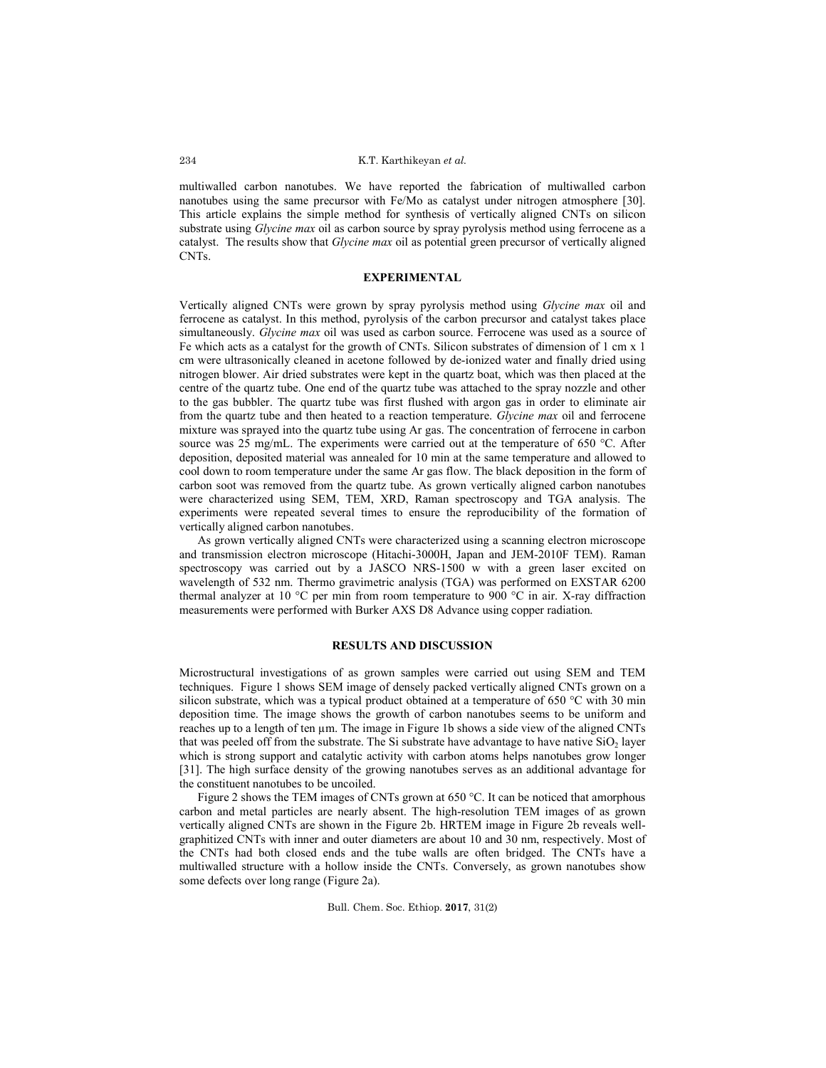K.T. Karthikeyan *et al.*

multiwalled carbon nanotubes. We have reported the fabrication of multiwalled carbon nanotubes using the same precursor with Fe/Mo as catalyst under nitrogen atmosphere [30]. This article explains the simple method for synthesis of vertically aligned CNTs on silicon substrate using *Glycine max* oil as carbon source by spray pyrolysis method using ferrocene as a catalyst. The results show that *Glycine max* oil as potential green precursor of vertically aligned CNTs.

#### **EXPERIMENTAL**

Vertically aligned CNTs were grown by spray pyrolysis method using *Glycine max* oil and ferrocene as catalyst. In this method, pyrolysis of the carbon precursor and catalyst takes place simultaneously. *Glycine max* oil was used as carbon source. Ferrocene was used as a source of Fe which acts as a catalyst for the growth of CNTs. Silicon substrates of dimension of 1 cm x 1 cm were ultrasonically cleaned in acetone followed by de-ionized water and finally dried using nitrogen blower. Air dried substrates were kept in the quartz boat, which was then placed at the centre of the quartz tube. One end of the quartz tube was attached to the spray nozzle and other to the gas bubbler. The quartz tube was first flushed with argon gas in order to eliminate air from the quartz tube and then heated to a reaction temperature. *Glycine max* oil and ferrocene mixture was sprayed into the quartz tube using Ar gas. The concentration of ferrocene in carbon source was 25 mg/mL. The experiments were carried out at the temperature of 650 °C. After deposition, deposited material was annealed for 10 min at the same temperature and allowed to cool down to room temperature under the same Ar gas flow. The black deposition in the form of carbon soot was removed from the quartz tube. As grown vertically aligned carbon nanotubes were characterized using SEM, TEM, XRD, Raman spectroscopy and TGA analysis. The experiments were repeated several times to ensure the reproducibility of the formation of vertically aligned carbon nanotubes.

As grown vertically aligned CNTs were characterized using a scanning electron microscope and transmission electron microscope (Hitachi-3000H, Japan and JEM-2010F TEM). Raman spectroscopy was carried out by a JASCO NRS-1500 w with a green laser excited on wavelength of 532 nm. Thermo gravimetric analysis (TGA) was performed on EXSTAR 6200 thermal analyzer at 10 °C per min from room temperature to 900 °C in air. X-ray diffraction measurements were performed with Burker AXS D8 Advance using copper radiation.

### **RESULTS AND DISCUSSION**

Microstructural investigations of as grown samples were carried out using SEM and TEM techniques. Figure 1 shows SEM image of densely packed vertically aligned CNTs grown on a silicon substrate, which was a typical product obtained at a temperature of 650  $^{\circ}$ C with 30 min deposition time. The image shows the growth of carbon nanotubes seems to be uniform and reaches up to a length of ten  $\mu$ m. The image in Figure 1b shows a side view of the aligned CNTs that was peeled off from the substrate. The Si substrate have advantage to have native  $SiO<sub>2</sub>$  layer which is strong support and catalytic activity with carbon atoms helps nanotubes grow longer [31]. The high surface density of the growing nanotubes serves as an additional advantage for the constituent nanotubes to be uncoiled.

Figure 2 shows the TEM images of CNTs grown at 650 °C. It can be noticed that amorphous carbon and metal particles are nearly absent. The high-resolution TEM images of as grown vertically aligned CNTs are shown in the Figure 2b. HRTEM image in Figure 2b reveals wellgraphitized CNTs with inner and outer diameters are about 10 and 30 nm, respectively. Most of the CNTs had both closed ends and the tube walls are often bridged. The CNTs have a multiwalled structure with a hollow inside the CNTs. Conversely, as grown nanotubes show some defects over long range (Figure 2a).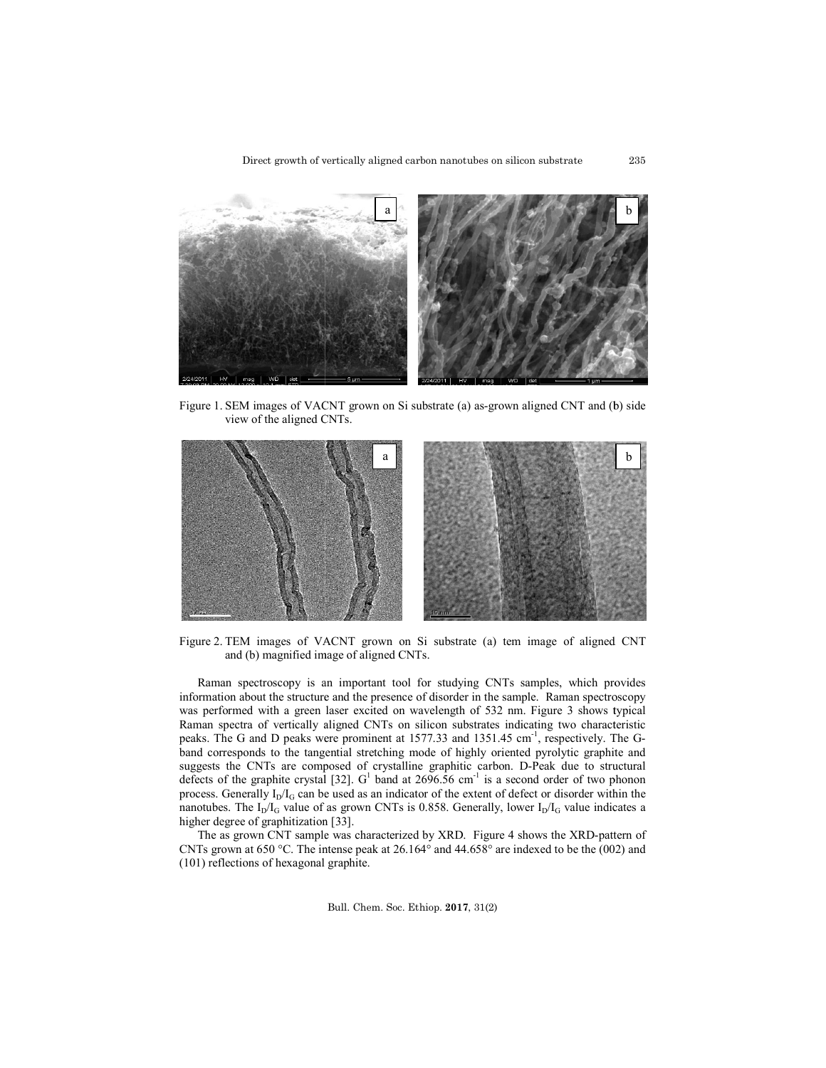

Figure 1. SEM images of VACNT grown on Si substrate (a) as-grown aligned CNT and (b) side view of the aligned CNTs.



Figure 2. TEM images of VACNT grown on Si substrate (a) tem image of aligned CNT and (b) magnified image of aligned CNTs.

Raman spectroscopy is an important tool for studying CNTs samples, which provides information about the structure and the presence of disorder in the sample. Raman spectroscopy was performed with a green laser excited on wavelength of 532 nm. Figure 3 shows typical was performed with a green laser excited on wavelength of 532 nm. Figure 3 shows typical Raman spectra of vertically aligned CNTs on silicon substrates indicating two characteristic Figure 2. TEM images of VACNT grown on Si substrate (a) tem image of aligned CNT and (b) magnified image of aligned CNTs.<br>
Raman spectroscopy is an important tool for studying CNTs samples, which provides information about band corresponds to the tangential stretching mode of highly oriented pyrolytic graphite and band corresponds to the tangential stretching mode of highly oriented pyrolytic graphite and suggests the CNTs are composed of crystalline graphitic carbon. D-Peak due to structural defects of the graphite crystal [32].  $G<sup>1</sup>$  band at 2696.56 cm<sup>-1</sup> is a second order of two phonon process. Generally  $I_D/I_G$  can be used as an indicator of the extent of defect or disorder within the process. Generally  $I_D/I_G$  can be used as an indicator of the extent of defect or disorder within the nanotubes. The  $I_D/I_G$  value of as grown CNTs is 0.858. Generally, lower  $I_D/I_G$  value indicates a higher degree of graphitization [33]. agnified image of aligned CNTs.<br>scopy is an important tool for studying CNTs samples, which provides<br>the structure and the presence of disorder in the sample. Raman spectroscopy

The as grown CNT sample was characterized by XRD. Figure 4 shows the XRD-pattern of CNTs grown at 650 °C. The intense peak at 26.164° and 44.658° are indexed to be the (002) and (101) reflections of hexagonal graphite.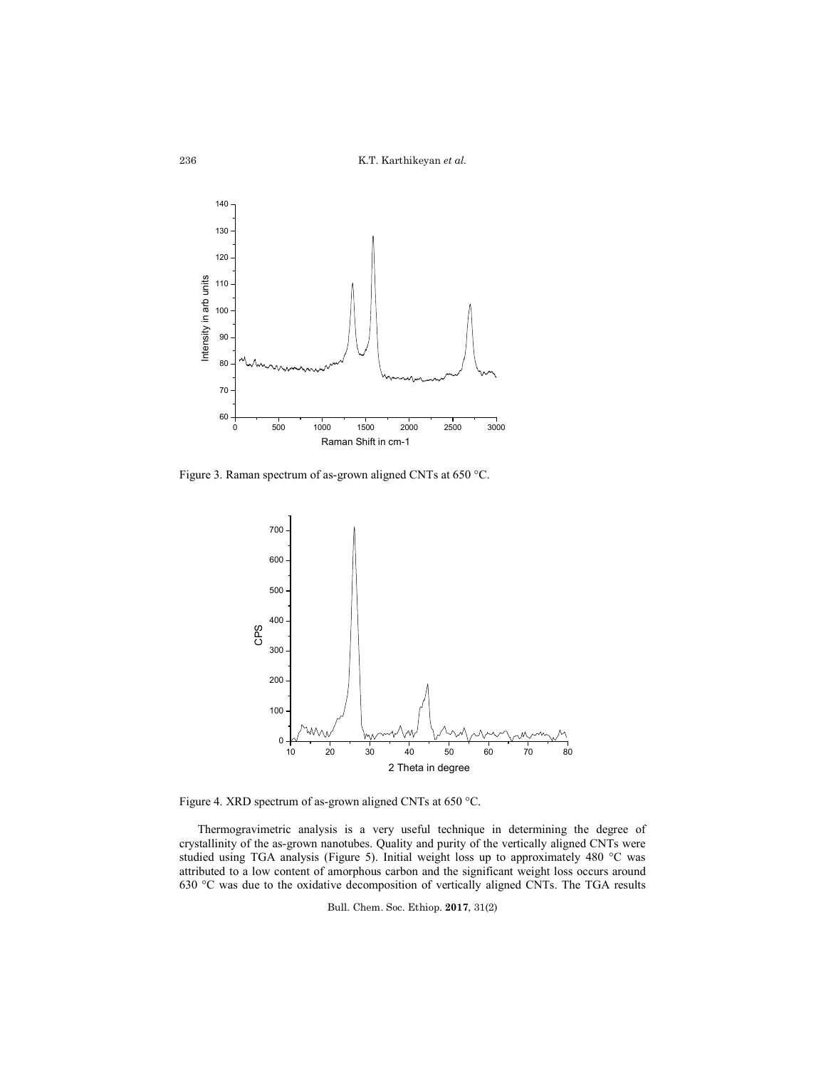

Figure 3. Raman spectrum of as-grown aligned CNTs at 650 °C.



Figure 4. XRD spectrum of as-grown aligned CNTs at 650 °C.

Thermogravimetric analysis is a very useful technique in determining the degree of crystallinity of the as-grown nanotubes. Quality and purity of the vertically aligned CNTs were studied using TGA analysis (Figure 5). Initial weight loss up to approximately 480 °C was attributed to a low content of amorphous carbon and the significant weight loss occurs around °C was due to the oxidative decomposition of vertically aligned CNTs. The TGA results

Bull. Chem. Soc. Ethiop. **2017**, 31(2)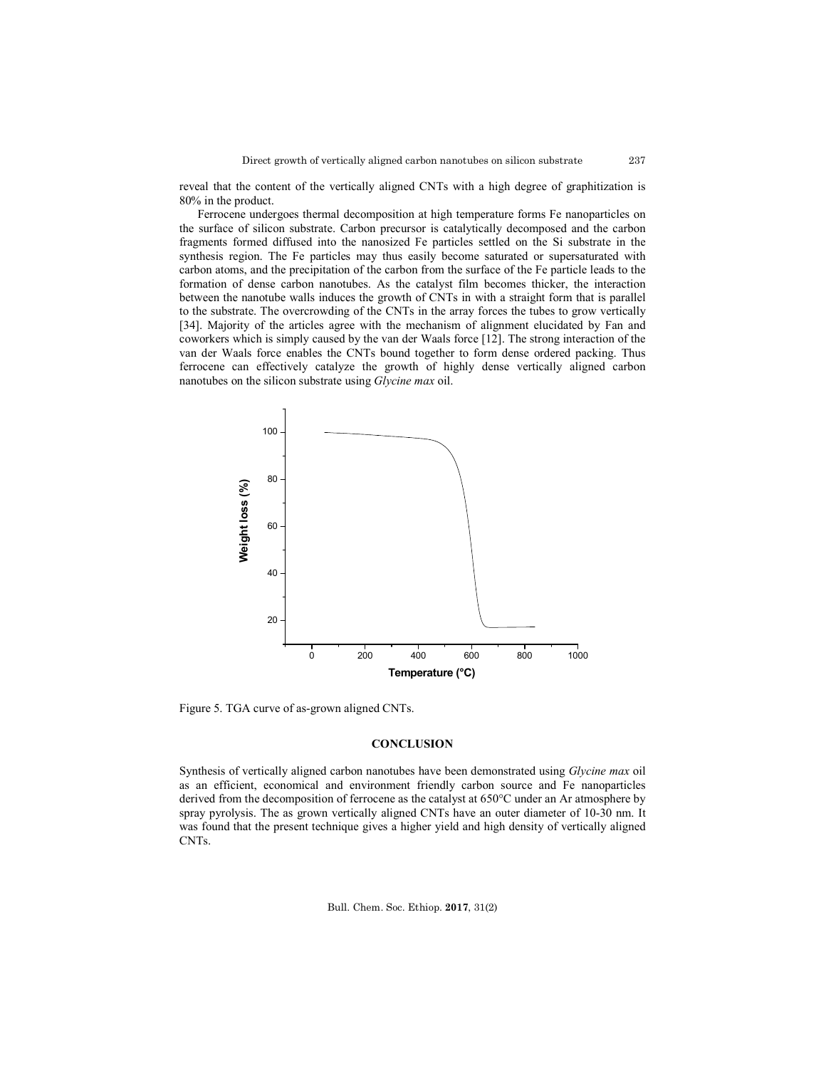reveal that the content of the vertically aligned CNTs with a high degree of graphitization is 80% in the product.

Ferrocene undergoes thermal decomposition at high temperature forms Fe nanoparticles on the surface of silicon substrate. Carbon precursor is catalytically decomposed and the carbon fragments formed diffused into the nanosized Fe particles settled on the Si substrate in the synthesis region. The Fe particles may thus easily become saturated or supersaturated with carbon atoms, and the precipitation of the carbon from the surface of the Fe particle leads to the formation of dense carbon nanotubes. As the catalyst film becomes thicker, the interaction between the nanotube walls induces the growth of CNTs in with a straight form that is parallel to the substrate. The overcrowding of the CNTs in the array forces the tubes to grow vertically [34]. Majority of the articles agree with the mechanism of alignment elucidated by Fan and coworkers which is simply caused by the van der Waals force [12]. The strong interaction of the van der Waals force enables the CNTs bound together to form dense ordered packing. Thus ferrocene can effectively catalyze the growth of highly dense vertically aligned carbon nanotubes on the silicon substrate using *Glycine max* oil.



Figure 5. TGA curve of as-grown aligned CNTs.

### **CONCLUSION**

Synthesis of vertically aligned carbon nanotubes have been demonstrated using *Glycine max* oil as an efficient, economical and environment friendly carbon source and Fe nanoparticles derived from the decomposition of ferrocene as the catalyst at 650°C under an Ar atmosphere by spray pyrolysis. The as grown vertically aligned CNTs have an outer diameter of 10-30 nm. It was found that the present technique gives a higher yield and high density of vertically aligned CNTs.

Bull. Chem. Soc. Ethiop. **2017**, 31(2)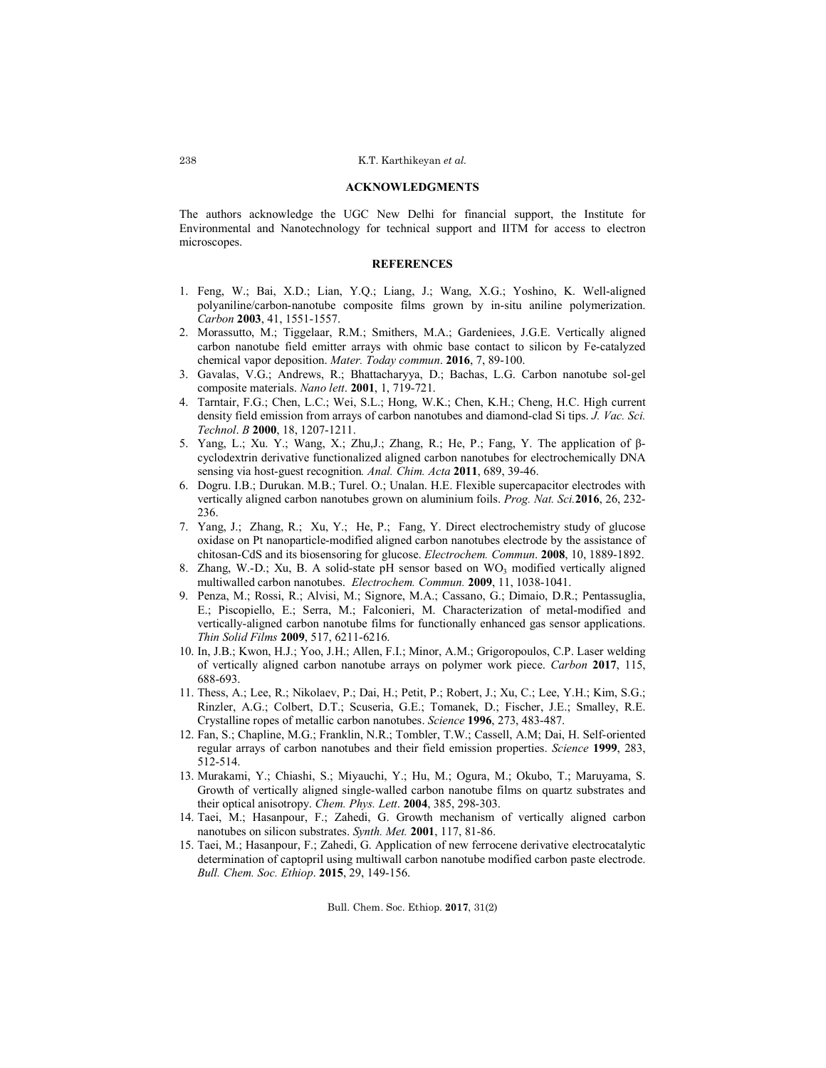#### **ACKNOWLEDGMENTS**

The authors acknowledge the UGC New Delhi for financial support, the Institute for Environmental and Nanotechnology for technical support and IITM for access to electron microscopes.

#### **REFERENCES**

- 1. Feng, W.; Bai, X.D.; Lian, Y.Q.; Liang, J.; Wang, X.G.; Yoshino, K. Well-aligned polyaniline/carbon-nanotube composite films grown by in-situ aniline polymerization. *Carbon* **2003**, 41, 1551-1557.
- 2. Morassutto, M.; Tiggelaar, R.M.; Smithers, M.A.; Gardeniees, J.G.E. Vertically aligned carbon nanotube field emitter arrays with ohmic base contact to silicon by Fe-catalyzed chemical vapor deposition. *Mater. Today commun*. **2016**, 7, 89-100.
- 3. Gavalas, V.G.; Andrews, R.; Bhattacharyya, D.; Bachas, L.G. Carbon nanotube sol-gel composite materials. *Nano lett*. **2001**, 1, 719-721.
- 4. Tarntair, F.G.; Chen, L.C.; Wei, S.L.; Hong, W.K.; Chen, K.H.; Cheng, H.C. High current density field emission from arrays of carbon nanotubes and diamond-clad Si tips. *J. Vac. Sci. Technol*. *B* **2000**, 18, 1207-1211.
- 5. Yang, L.; Xu. Y.; Wang, X.; Zhu,J.; Zhang, R.; He, P.; Fang, Y. The application of βcyclodextrin derivative functionalized aligned carbon nanotubes for electrochemically DNA sensing via host-guest recognition*. Anal. Chim. Acta* **2011**, 689, 39-46.
- 6. Dogru. I.B.; Durukan. M.B.; Turel. O.; Unalan. H.E. Flexible supercapacitor electrodes with vertically aligned carbon nanotubes grown on aluminium foils. *Prog. Nat. Sci.***2016**, 26, 232- 236.
- 7. Yang, J.; Zhang, R.; Xu, Y.; He, P.; Fang, Y. Direct electrochemistry study of glucose oxidase on Pt nanoparticle-modified aligned carbon nanotubes electrode by the assistance of chitosan-CdS and its biosensoring for glucose. *Electrochem. Commun*. **2008**, 10, 1889-1892.
- 8. Zhang, W.-D.; Xu, B. A solid-state pH sensor based on  $WO_3$  modified vertically aligned multiwalled carbon nanotubes. *Electrochem. Commun.* **2009**, 11, 1038-1041.
- 9. Penza, M.; Rossi, R.; Alvisi, M.; Signore, M.A.; Cassano, G.; Dimaio, D.R.; Pentassuglia, E.; Piscopiello, E.; Serra, M.; Falconieri, M. Characterization of metal-modified and vertically-aligned carbon nanotube films for functionally enhanced gas sensor applications. *Thin Solid Films* **2009**, 517, 6211-6216.
- 10. In, J.B.; Kwon, H.J.; Yoo, J.H.; Allen, F.I.; Minor, A.M.; Grigoropoulos, C.P. Laser welding of vertically aligned carbon nanotube arrays on polymer work piece. *Carbon* **2017**, 115, 688-693.
- 11. Thess, A.; Lee, R.; Nikolaev, P.; Dai, H.; Petit, P.; Robert, J.; Xu, C.; Lee, Y.H.; Kim, S.G.; Rinzler, A.G.; Colbert, D.T.; Scuseria, G.E.; Tomanek, D.; Fischer, J.E.; Smalley, R.E. Crystalline ropes of metallic carbon nanotubes. *Science* **1996**, 273, 483-487.
- 12. Fan, S.; Chapline, M.G.; Franklin, N.R.; Tombler, T.W.; Cassell, A.M; Dai, H. Self-oriented regular arrays of carbon nanotubes and their field emission properties. *Science* **1999**, 283, 512-514.
- 13. Murakami, Y.; Chiashi, S.; Miyauchi, Y.; Hu, M.; Ogura, M.; Okubo, T.; Maruyama, S. Growth of vertically aligned single-walled carbon nanotube films on quartz substrates and their optical anisotropy. *Chem. Phys. Lett*. **2004**, 385, 298-303.
- 14. Taei, M.; Hasanpour, F.; Zahedi, G. Growth mechanism of vertically aligned carbon nanotubes on silicon substrates. *Synth. Met.* **2001**, 117, 81-86.
- 15. Taei, M.; Hasanpour, F.; Zahedi, G. Application of new ferrocene derivative electrocatalytic determination of captopril using multiwall carbon nanotube modified carbon paste electrode. *Bull. Chem. Soc. Ethiop*. **2015**, 29, 149-156.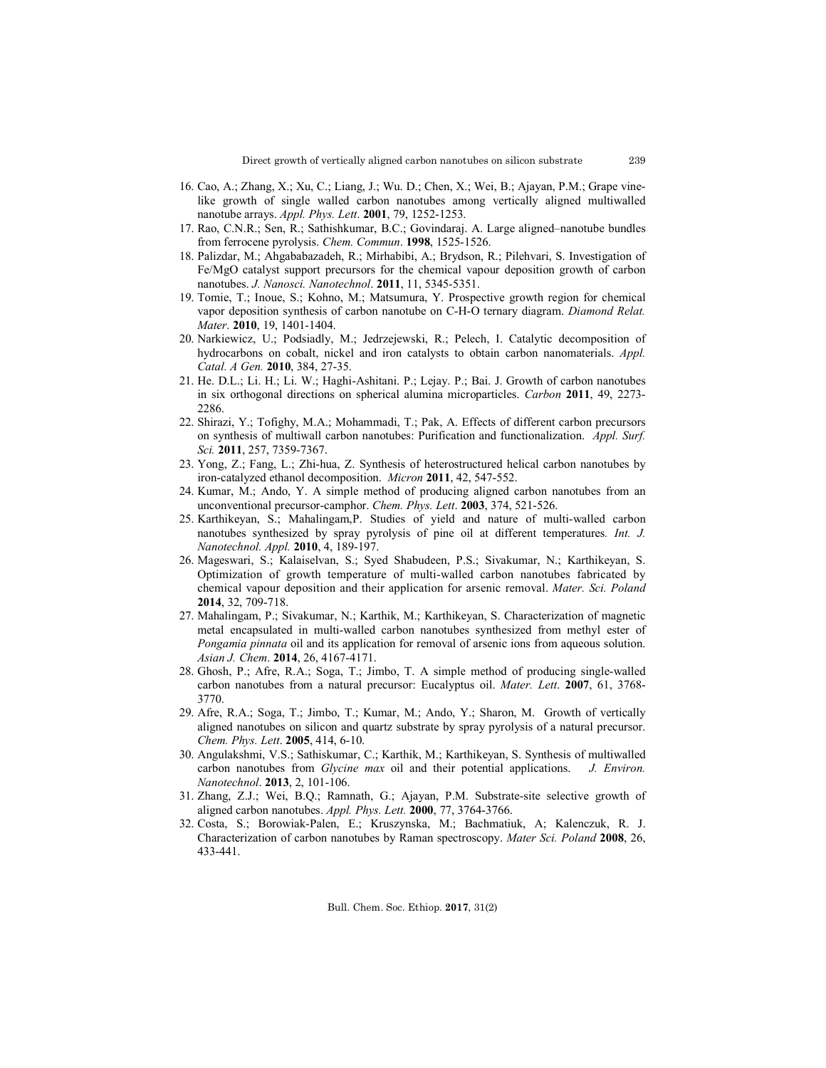- 16. Cao, A.; Zhang, X.; Xu, C.; Liang, J.; Wu. D.; Chen, X.; Wei, B.; Ajayan, P.M.; Grape vinelike growth of single walled carbon nanotubes among vertically aligned multiwalled nanotube arrays. *Appl. Phys. Lett*. **2001**, 79, 1252-1253.
- 17. Rao, C.N.R.; Sen, R.; Sathishkumar, B.C.; Govindaraj. A. Large aligned–nanotube bundles from ferrocene pyrolysis. *Chem. Commun*. **1998**, 1525-1526.
- 18. Palizdar, M.; Ahgababazadeh, R.; Mirhabibi, A.; Brydson, R.; Pilehvari, S. Investigation of Fe/MgO catalyst support precursors for the chemical vapour deposition growth of carbon nanotubes. *J. Nanosci. Nanotechnol*. **2011**, 11, 5345-5351.
- 19. Tomie, T.; Inoue, S.; Kohno, M.; Matsumura, Y. Prospective growth region for chemical vapor deposition synthesis of carbon nanotube on C-H-O ternary diagram. *Diamond Relat. Mater*. **2010**, 19, 1401-1404.
- 20. Narkiewicz, U.; Podsiadly, M.; Jedrzejewski, R.; Pelech, I. Catalytic decomposition of hydrocarbons on cobalt, nickel and iron catalysts to obtain carbon nanomaterials. *Appl. Catal. A Gen.* **2010**, 384, 27-35.
- 21. He. D.L.; Li. H.; Li. W.; Haghi-Ashitani. P.; Lejay. P.; Bai. J. Growth of carbon nanotubes in six orthogonal directions on spherical alumina microparticles. *Carbon* **2011**, 49, 2273- 2286.
- 22. Shirazi, Y.; Tofighy, M.A.; Mohammadi, T.; Pak, A. Effects of different carbon precursors on synthesis of multiwall carbon nanotubes: Purification and functionalization. *Appl. Surf. Sci.* **2011**, 257, 7359-7367.
- 23. Yong, Z.; Fang, L.; Zhi-hua, Z. Synthesis of heterostructured helical carbon nanotubes by iron-catalyzed ethanol decomposition. *Micron* **2011**, 42, 547-552.
- 24. Kumar, M.; Ando, Y. A simple method of producing aligned carbon nanotubes from an unconventional precursor-camphor. *Chem. Phys. Lett*. **2003**, 374, 521-526.
- 25. Karthikeyan, S.; Mahalingam,P. Studies of yield and nature of multi-walled carbon nanotubes synthesized by spray pyrolysis of pine oil at different temperatures*. Int. J. Nanotechnol. Appl.* **2010**, 4, 189-197.
- 26. Mageswari, S.; Kalaiselvan, S.; Syed Shabudeen, P.S.; Sivakumar, N.; Karthikeyan, S. Optimization of growth temperature of multi-walled carbon nanotubes fabricated by chemical vapour deposition and their application for arsenic removal. *Mater. Sci. Poland* **2014**, 32, 709-718.
- 27. Mahalingam, P.; Sivakumar, N.; Karthik, M.; Karthikeyan, S. Characterization of magnetic metal encapsulated in multi-walled carbon nanotubes synthesized from methyl ester of *Pongamia pinnata* oil and its application for removal of arsenic ions from aqueous solution. *Asian J. Chem*. **2014**, 26, 4167-4171.
- 28. Ghosh, P.; Afre, R.A.; Soga, T.; Jimbo, T. A simple method of producing single-walled carbon nanotubes from a natural precursor: Eucalyptus oil. *Mater. Lett*. **2007**, 61, 3768- 3770.
- 29. Afre, R.A.; Soga, T.; Jimbo, T.; Kumar, M.; Ando, Y.; Sharon, M. Growth of vertically aligned nanotubes on silicon and quartz substrate by spray pyrolysis of a natural precursor. *Chem. Phys. Lett*. **2005**, 414, 6-10.
- 30. Angulakshmi, V.S.; Sathiskumar, C.; Karthik, M.; Karthikeyan, S. Synthesis of multiwalled carbon nanotubes from *Glycine max* oil and their potential applications. *J. Environ. Nanotechnol*. **2013**, 2, 101-106.
- 31. Zhang, Z.J.; Wei, B.Q.; Ramnath, G.; Ajayan, P.M. Substrate-site selective growth of aligned carbon nanotubes. *Appl. Phys. Lett.* **2000**, 77, 3764-3766.
- 32. Costa, S.; Borowiak-Palen, E.; Kruszynska, M.; Bachmatiuk, A; Kalenczuk, R. J. Characterization of carbon nanotubes by Raman spectroscopy. *Mater Sci. Poland* **2008**, 26, 433-441.

Bull. Chem. Soc. Ethiop. **2017**, 31(2)